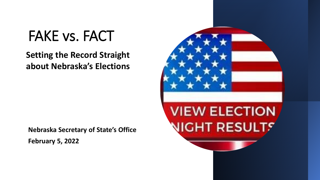# FAKE vs. FACT

# **Setting the Record Straight about Nebraska's Elections**

**Nebraska Secretary of State's Office February 5, 2022**

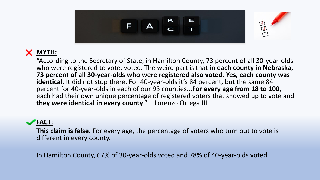

"According to the Secretary of State, in Hamilton County, 73 percent of all 30-year-olds who were registered to vote, voted. The weird part is that **in each county in Nebraska, 73 percent of all 30-year-olds who were registered also voted**. **Yes, each county was**  identical. It did not stop there. For 40-year-olds it's 84 percent, but the same 84 percent for 40-year-olds in each of our 93 counties...**For every age from 18 to 100**, each had their own unique percentage of registered voters that showed up to vote and **they were identical in every county**." – Lorenzo Ortega III

#### **FACT:**

**This claim is false.** For every age, the percentage of voters who turn out to vote is different in every county.

In Hamilton County, 67% of 30-year-olds voted and 78% of 40-year-olds voted.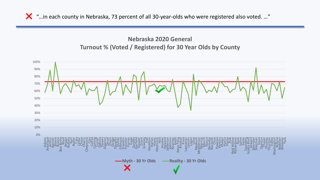"…in each county in Nebraska, 73 percent of all 30-year-olds who were registered also voted. …"

#### **Nebraska 2020 General Turnout % (Voted / Registered) for 30 Year Olds by County**

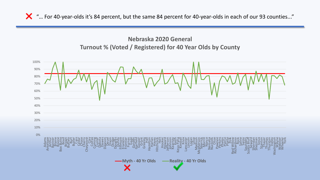"… For 40-year-olds it's 84 percent, but the same 84 percent for 40-year-olds in each of our 93 counties..."

#### **Nebraska 2020 General Turnout % (Voted / Registered) for 40 Year Olds by County**

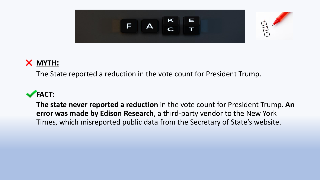

The State reported a reduction in the vote count for President Trump.

### **FACT:**

**The state never reported a reduction** in the vote count for President Trump. **An error was made by Edison Research**, a third-party vendor to the New York Times, which misreported public data from the Secretary of State's website.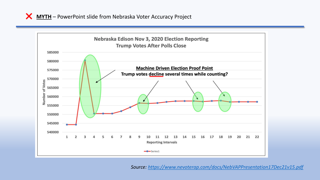**MYTH** – PowerPoint slide from Nebraska Voter Accuracy Project



*Source: <https://www.nevoterap.com/docs/NebVAPPresentation17Dec21v15.pdf>*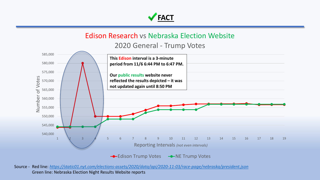

#### Edison Research vs Nebraska Election Website

2020 General - Trump Votes



Source - Red line: *<https://static01.nyt.com/elections-assets/2020/data/api/2020-11-03/race-page/nebraska/president.json>* Green line: Nebraska Election Night Results Website reports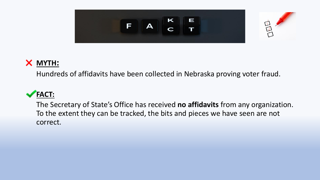



Hundreds of affidavits have been collected in Nebraska proving voter fraud.

### **FACT:**

The Secretary of State's Office has received **no affidavits** from any organization. To the extent they can be tracked, the bits and pieces we have seen are not correct.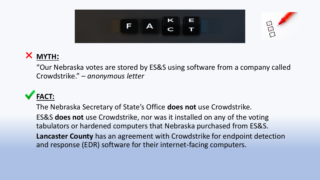



"Our Nebraska votes are stored by ES&S using software from a company called Crowdstrike." – *anonymous letter*

# **FACT:**

The Nebraska Secretary of State's Office **does not** use Crowdstrike. ES&S **does not** use Crowdstrike, nor was it installed on any of the voting tabulators or hardened computers that Nebraska purchased from ES&S. **Lancaster County** has an agreement with Crowdstrike for endpoint detection and response (EDR) software for their internet-facing computers.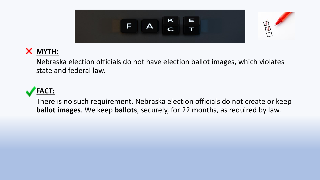



Nebraska election officials do not have election ballot images, which violates state and federal law.



There is no such requirement. Nebraska election officials do not create or keep **ballot images**. We keep **ballots**, securely, for 22 months, as required by law.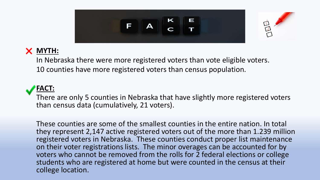



In Nebraska there were more registered voters than vote eligible voters. 10 counties have more registered voters than census population.

#### **FACT:**

There are only 5 counties in Nebraska that have slightly more registered voters than census data (cumulatively, 21 voters).

These counties are some of the smallest counties in the entire nation. In total they represent 2,147 active registered voters out of the more than 1.239 million registered voters in Nebraska. These counties conduct proper list maintenance on their voter registrations lists. The minor overages can be accounted for by voters who cannot be removed from the rolls for 2 federal elections or college students who are registered at home but were counted in the census at their college location.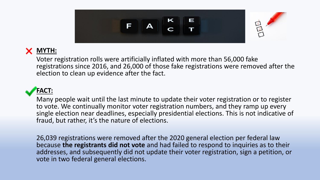

Voter registration rolls were artificially inflated with more than 56,000 fake registrations since 2016, and 26,000 of those fake registrations were removed after the election to clean up evidence after the fact.

### **FACT:**

Many people wait until the last minute to update their voter registration or to register to vote. We continually monitor voter registration numbers, and they ramp up every single election near deadlines, especially presidential elections. This is not indicative of fraud, but rather, it's the nature of elections.

26,039 registrations were removed after the 2020 general election per federal law because **the registrants did not vote** and had failed to respond to inquiries as to their addresses, and subsequently did not update their voter registration, sign a petition, or vote in two federal general elections.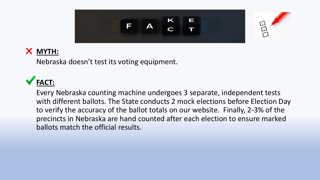

Nebraska doesn't test its voting equipment.

# **FACT:**

Every Nebraska counting machine undergoes 3 separate, independent tests with different ballots. The State conducts 2 mock elections before Election Day to verify the accuracy of the ballot totals on our website. Finally, 2-3% of the precincts in Nebraska are hand counted after each election to ensure marked ballots match the official results.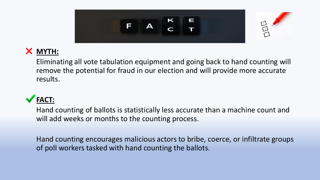

Eliminating all vote tabulation equipment and going back to hand counting will remove the potential for fraud in our election and will provide more accurate results.

# **FACT:**

Hand counting of ballots is statistically less accurate than a machine count and will add weeks or months to the counting process.

Hand counting encourages malicious actors to bribe, coerce, or infiltrate groups of poll workers tasked with hand counting the ballots.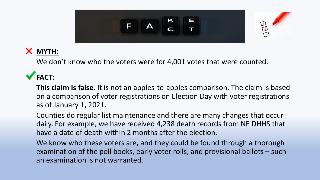

We don't know who the voters were for 4,001 votes that were counted.

# **FACT:**

**This claim is false**. It is not an apples-to-apples comparison. The claim is based on a comparison of voter registrations on Election Day with voter registrations as of January 1, 2021.

Counties do regular list maintenance and there are many changes that occur daily. For example, we have received 4,238 death records from NE DHHS that have a date of death within 2 months after the election.

We know who these voters are, and they could be found through a thorough examination of the poll books, early voter rolls, and provisional ballots – such an examination is not warranted.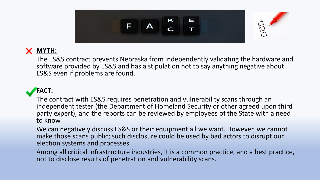

The ES&S contract prevents Nebraska from independently validating the hardware and software provided by ES&S and has a stipulation not to say anything negative about ES&S even if problems are found.

#### **FACT:**

The contract with ES&S requires penetration and vulnerability scans through an independent tester (the Department of Homeland Security or other agreed upon third party expert), and the reports can be reviewed by employees of the State with a need to know.

We can negatively discuss ES&S or their equipment all we want. However, we cannot make those scans public; such disclosure could be used by bad actors to disrupt our election systems and processes.

Among all critical infrastructure industries, it is a common practice, and a best practice, not to disclose results of penetration and vulnerability scans.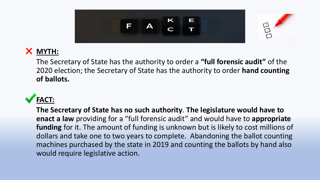

The Secretary of State has the authority to order a **"full forensic audit"** of the 2020 election; the Secretary of State has the authority to order **hand counting of ballots.**

# **FACT:**

**The Secretary of State has no such authority**. **The legislature would have to enact a law** providing for a "full forensic audit" and would have to **appropriate funding** for it. The amount of funding is unknown but is likely to cost millions of dollars and take one to two years to complete. Abandoning the ballot counting machines purchased by the state in 2019 and counting the ballots by hand also would require legislative action.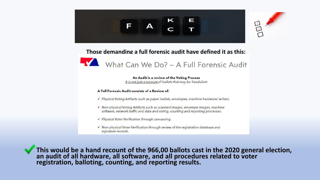



#### **Those demanding a full forensic audit have defined it as this:**



An Audit is a review of the Voting Process It is not just a recount of ballots that may be fraudulent

#### A Full Forensic Audit consists of a Review of:

- √ Physical Voting Artifacts such as paper ballots, envelopes, machine hardware/ writers.
- √ Non-physical Voting Artifacts such as scanned images, envelope images, machine software, network traffic and data and voting, counting and reporting processes.
- √ Physical Voter Verification through canvassing.
- $\checkmark$  Non-physical Voter Verification through review of the registration database and signature records.

**This would be a hand recount of the 966,00 ballots cast in the 2020 general election, an audit of all hardware, all software, and all procedures related to voter registration, balloting, counting, and reporting results.**